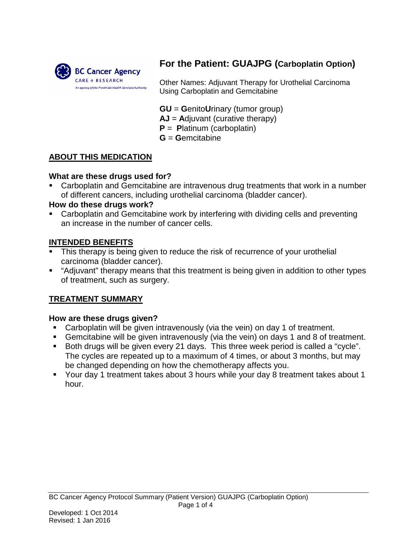

# **For the Patient: GUAJPG (Carboplatin Option)**

Other Names: Adjuvant Therapy for Urothelial Carcinoma Using Carboplatin and Gemcitabine

**GU** = **G**enito**U**rinary (tumor group)

**AJ** = **A**djuvant (curative therapy)

- **P** = **P**latinum (carboplatin)
- **G** = **G**emcitabine

## **ABOUT THIS MEDICATION**

## **What are these drugs used for?**

 Carboplatin and Gemcitabine are intravenous drug treatments that work in a number of different cancers, including urothelial carcinoma (bladder cancer).

## **How do these drugs work?**

 Carboplatin and Gemcitabine work by interfering with dividing cells and preventing an increase in the number of cancer cells.

## **INTENDED BENEFITS**

- This therapy is being given to reduce the risk of recurrence of your urothelial carcinoma (bladder cancer).
- "Adjuvant" therapy means that this treatment is being given in addition to other types of treatment, such as surgery.

## **TREATMENT SUMMARY**

#### **How are these drugs given?**

- Carboplatin will be given intravenously (via the vein) on day 1 of treatment.
- Gemcitabine will be given intravenously (via the vein) on days 1 and 8 of treatment.
- Both drugs will be given every 21 days. This three week period is called a "cycle". The cycles are repeated up to a maximum of 4 times, or about 3 months, but may be changed depending on how the chemotherapy affects you.
- Your day 1 treatment takes about 3 hours while your day 8 treatment takes about 1 hour.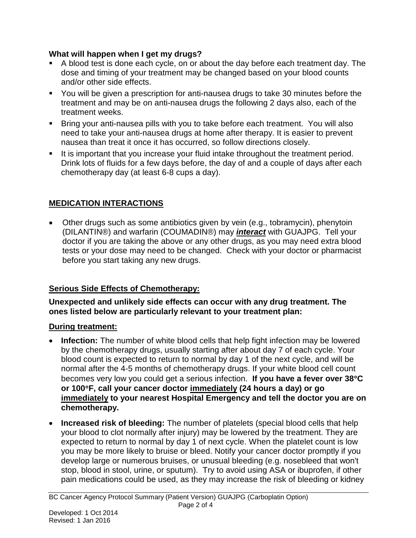## **What will happen when I get my drugs?**

- A blood test is done each cycle, on or about the day before each treatment day. The dose and timing of your treatment may be changed based on your blood counts and/or other side effects.
- You will be given a prescription for anti-nausea drugs to take 30 minutes before the treatment and may be on anti-nausea drugs the following 2 days also, each of the treatment weeks.
- Bring your anti-nausea pills with you to take before each treatment. You will also need to take your anti-nausea drugs at home after therapy. It is easier to prevent nausea than treat it once it has occurred, so follow directions closely.
- It is important that you increase your fluid intake throughout the treatment period. Drink lots of fluids for a few days before, the day of and a couple of days after each chemotherapy day (at least 6-8 cups a day).

# **MEDICATION INTERACTIONS**

• Other drugs such as some antibiotics given by vein (e.g., tobramycin), phenytoin (DILANTIN®) and warfarin (COUMADIN®) may *interact* with GUAJPG. Tell your doctor if you are taking the above or any other drugs, as you may need extra blood tests or your dose may need to be changed. Check with your doctor or pharmacist before you start taking any new drugs.

# **Serious Side Effects of Chemotherapy:**

**Unexpected and unlikely side effects can occur with any drug treatment. The ones listed below are particularly relevant to your treatment plan:** 

# **During treatment:**

- **Infection:** The number of white blood cells that help fight infection may be lowered by the chemotherapy drugs, usually starting after about day 7 of each cycle. Your blood count is expected to return to normal by day 1 of the next cycle, and will be normal after the 4-5 months of chemotherapy drugs. If your white blood cell count becomes very low you could get a serious infection. **If you have a fever over 38**°**C or 100**°**F, call your cancer doctor immediately (24 hours a day) or go immediately to your nearest Hospital Emergency and tell the doctor you are on chemotherapy.**
- **Increased risk of bleeding:** The number of platelets (special blood cells that help your blood to clot normally after injury) may be lowered by the treatment. They are expected to return to normal by day 1 of next cycle. When the platelet count is low you may be more likely to bruise or bleed. Notify your cancer doctor promptly if you develop large or numerous bruises, or unusual bleeding (e.g. nosebleed that won't stop, blood in stool, urine, or sputum). Try to avoid using ASA or ibuprofen, if other pain medications could be used, as they may increase the risk of bleeding or kidney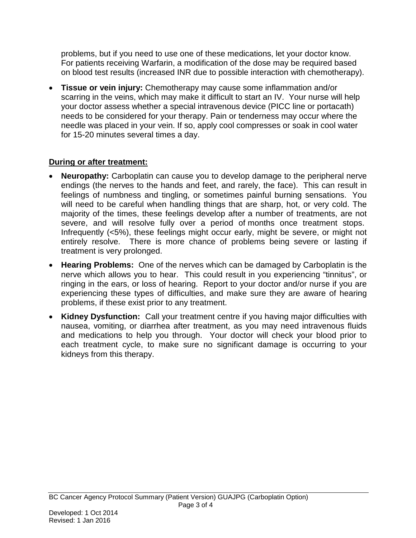problems, but if you need to use one of these medications, let your doctor know. For patients receiving Warfarin, a modification of the dose may be required based on blood test results (increased INR due to possible interaction with chemotherapy).

• **Tissue or vein injury:** Chemotherapy may cause some inflammation and/or scarring in the veins, which may make it difficult to start an IV. Your nurse will help your doctor assess whether a special intravenous device (PICC line or portacath) needs to be considered for your therapy. Pain or tenderness may occur where the needle was placed in your vein. If so, apply cool compresses or soak in cool water for 15-20 minutes several times a day.

# **During or after treatment:**

- **Neuropathy:** Carboplatin can cause you to develop damage to the peripheral nerve endings (the nerves to the hands and feet, and rarely, the face). This can result in feelings of numbness and tingling, or sometimes painful burning sensations. You will need to be careful when handling things that are sharp, hot, or very cold. The majority of the times, these feelings develop after a number of treatments, are not severe, and will resolve fully over a period of months once treatment stops. Infrequently (<5%), these feelings might occur early, might be severe, or might not entirely resolve. There is more chance of problems being severe or lasting if treatment is very prolonged.
- **Hearing Problems:** One of the nerves which can be damaged by Carboplatin is the nerve which allows you to hear. This could result in you experiencing "tinnitus", or ringing in the ears, or loss of hearing. Report to your doctor and/or nurse if you are experiencing these types of difficulties, and make sure they are aware of hearing problems, if these exist prior to any treatment.
- **Kidney Dysfunction:** Call your treatment centre if you having major difficulties with nausea, vomiting, or diarrhea after treatment, as you may need intravenous fluids and medications to help you through. Your doctor will check your blood prior to each treatment cycle, to make sure no significant damage is occurring to your kidneys from this therapy.